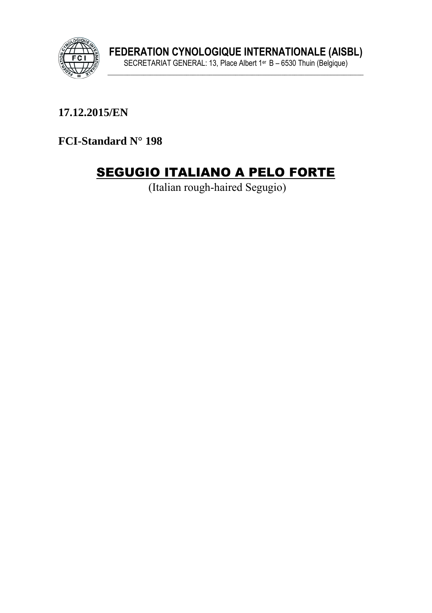

17.12.2015/EN

FCI-Standard N° 198

# **SEGUGIO ITALIANO A PELO FORTE**

(Italian rough-haired Segugio)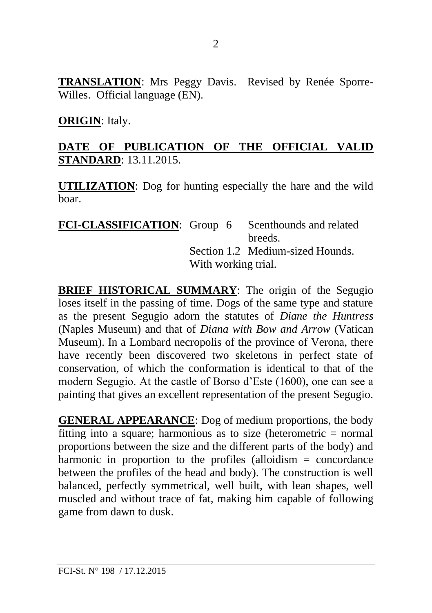**TRANSLATION**: Mrs Peggy Davis. Revised by Renée Sporre-Willes. Official language (EN).

#### **ORIGIN**: Italy.

## **DATE OF PUBLICATION OF THE OFFICIAL VALID STANDARD**: 13.11.2015.

**UTILIZATION**: Dog for hunting especially the hare and the wild boar.

| <b>FCI-CLASSIFICATION:</b> Group 6 Scenthounds and related |                     |                                  |
|------------------------------------------------------------|---------------------|----------------------------------|
|                                                            |                     | breeds.                          |
|                                                            |                     | Section 1.2 Medium-sized Hounds. |
|                                                            | With working trial. |                                  |

**BRIEF HISTORICAL SUMMARY**: The origin of the Segugio loses itself in the passing of time. Dogs of the same type and stature as the present Segugio adorn the statutes of *Diane the Huntress* (Naples Museum) and that of *Diana with Bow and Arrow* (Vatican Museum). In a Lombard necropolis of the province of Verona, there have recently been discovered two skeletons in perfect state of conservation, of which the conformation is identical to that of the modern Segugio. At the castle of Borso d'Este (1600), one can see a painting that gives an excellent representation of the present Segugio.

**GENERAL APPEARANCE**: Dog of medium proportions, the body fitting into a square; harmonious as to size (heterometric  $=$  normal proportions between the size and the different parts of the body) and harmonic in proportion to the profiles (alloidism = concordance between the profiles of the head and body). The construction is well balanced, perfectly symmetrical, well built, with lean shapes, well muscled and without trace of fat, making him capable of following game from dawn to dusk.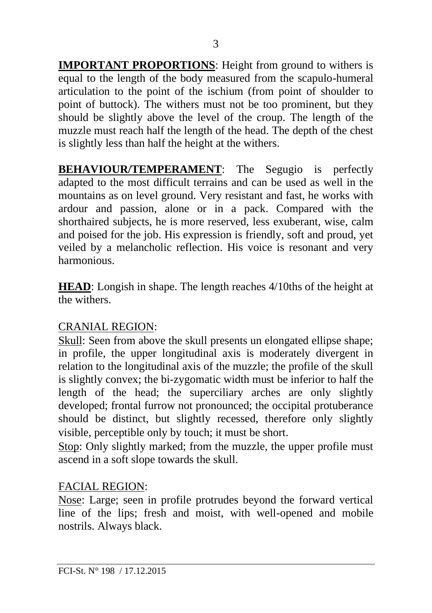**IMPORTANT PROPORTIONS:** Height from ground to withers is equal to the length of the body measured from the scapulo-humeral articulation to the point of the ischium (from point of shoulder to point of buttock). The withers must not be too prominent, but they should be slightly above the level of the croup. The length of the muzzle must reach half the length of the head. The depth of the chest is slightly less than half the height at the withers.

**BEHAVIOUR/TEMPERAMENT:** The Segugio is perfectly adapted to the most difficult terrains and can be used as well in the mountains as on level ground. Very resistant and fast, he works with ardour and passion, alone or in a pack. Compared with the shorthaired subjects, he is more reserved, less exuberant, wise, calm and poised for the job. His expression is friendly, soft and proud, yet veiled by a melancholic reflection. His voice is resonant and very harmonious.

**HEAD**: Longish in shape. The length reaches 4/10ths of the height at the withers.

#### CRANIAL REGION:

Skull: Seen from above the skull presents un elongated ellipse shape; in profile, the upper longitudinal axis is moderately divergent in relation to the longitudinal axis of the muzzle; the profile of the skull is slightly convex; the bi-zygomatic width must be inferior to half the length of the head; the superciliary arches are only slightly developed; frontal furrow not pronounced; the occipital protuberance should be distinct, but slightly recessed, therefore only slightly visible, perceptible only by touch; it must be short.

Stop: Only slightly marked; from the muzzle, the upper profile must ascend in a soft slope towards the skull.

#### FACIAL REGION:

Nose: Large; seen in profile protrudes beyond the forward vertical line of the lips; fresh and moist, with well-opened and mobile nostrils. Always black.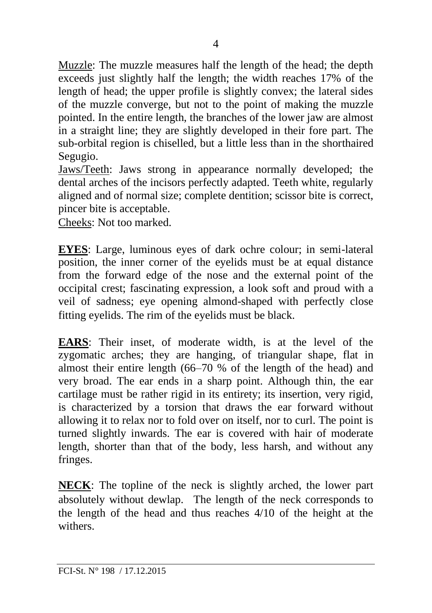Muzzle: The muzzle measures half the length of the head; the depth exceeds just slightly half the length; the width reaches 17% of the length of head; the upper profile is slightly convex; the lateral sides of the muzzle converge, but not to the point of making the muzzle pointed. In the entire length, the branches of the lower jaw are almost in a straight line; they are slightly developed in their fore part. The sub-orbital region is chiselled, but a little less than in the shorthaired Segugio.

Jaws/Teeth: Jaws strong in appearance normally developed; the dental arches of the incisors perfectly adapted. Teeth white, regularly aligned and of normal size; complete dentition; scissor bite is correct, pincer bite is acceptable.

Cheeks: Not too marked.

**EYES**: Large, luminous eyes of dark ochre colour; in semi-lateral position, the inner corner of the eyelids must be at equal distance from the forward edge of the nose and the external point of the occipital crest; fascinating expression, a look soft and proud with a veil of sadness; eye opening almond-shaped with perfectly close fitting eyelids. The rim of the eyelids must be black.

**EARS**: Their inset, of moderate width, is at the level of the zygomatic arches; they are hanging, of triangular shape, flat in almost their entire length (66–70 % of the length of the head) and very broad. The ear ends in a sharp point. Although thin, the ear cartilage must be rather rigid in its entirety; its insertion, very rigid, is characterized by a torsion that draws the ear forward without allowing it to relax nor to fold over on itself, nor to curl. The point is turned slightly inwards. The ear is covered with hair of moderate length, shorter than that of the body, less harsh, and without any fringes.

**NECK**: The topline of the neck is slightly arched, the lower part absolutely without dewlap. The length of the neck corresponds to the length of the head and thus reaches 4/10 of the height at the withers.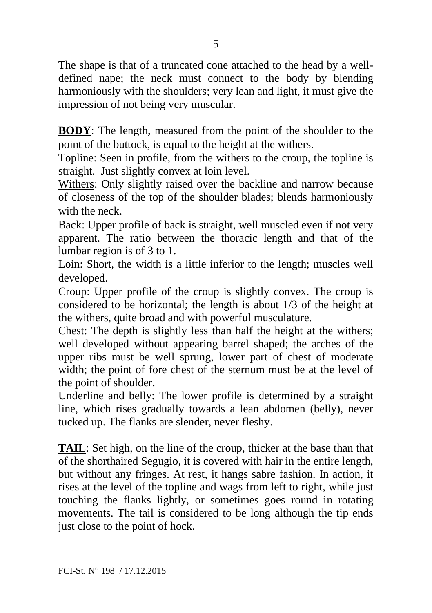The shape is that of a truncated cone attached to the head by a welldefined nape; the neck must connect to the body by blending harmoniously with the shoulders; very lean and light, it must give the impression of not being very muscular.

**BODY**: The length, measured from the point of the shoulder to the point of the buttock, is equal to the height at the withers.

Topline: Seen in profile, from the withers to the croup, the topline is straight. Just slightly convex at loin level.

Withers: Only slightly raised over the backline and narrow because of closeness of the top of the shoulder blades; blends harmoniously with the neck.

Back: Upper profile of back is straight, well muscled even if not very apparent. The ratio between the thoracic length and that of the lumbar region is of 3 to 1.

Loin: Short, the width is a little inferior to the length; muscles well developed.

Croup: Upper profile of the croup is slightly convex. The croup is considered to be horizontal; the length is about 1/3 of the height at the withers, quite broad and with powerful musculature.

Chest: The depth is slightly less than half the height at the withers; well developed without appearing barrel shaped; the arches of the upper ribs must be well sprung, lower part of chest of moderate width; the point of fore chest of the sternum must be at the level of the point of shoulder.

Underline and belly: The lower profile is determined by a straight line, which rises gradually towards a lean abdomen (belly), never tucked up. The flanks are slender, never fleshy.

**TAIL**: Set high, on the line of the croup, thicker at the base than that of the shorthaired Segugio, it is covered with hair in the entire length, but without any fringes. At rest, it hangs sabre fashion. In action, it rises at the level of the topline and wags from left to right, while just touching the flanks lightly, or sometimes goes round in rotating movements. The tail is considered to be long although the tip ends just close to the point of hock.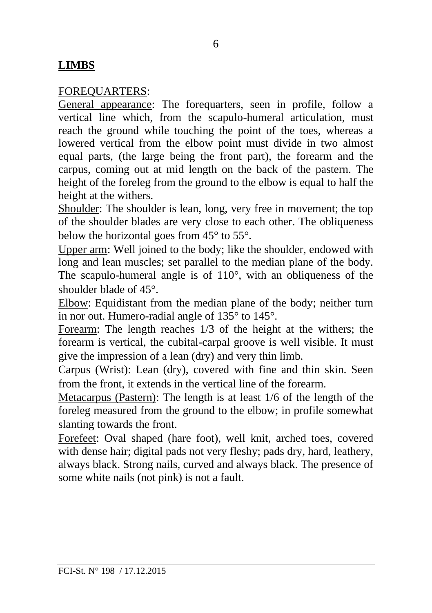#### **LIMBS**

#### FOREQUARTERS:

General appearance: The forequarters, seen in profile, follow a vertical line which, from the scapulo-humeral articulation, must reach the ground while touching the point of the toes, whereas a lowered vertical from the elbow point must divide in two almost equal parts, (the large being the front part), the forearm and the carpus, coming out at mid length on the back of the pastern. The height of the foreleg from the ground to the elbow is equal to half the height at the withers.

Shoulder: The shoulder is lean, long, very free in movement; the top of the shoulder blades are very close to each other. The obliqueness below the horizontal goes from 45° to 55°.

Upper arm: Well joined to the body; like the shoulder, endowed with long and lean muscles; set parallel to the median plane of the body. The scapulo-humeral angle is of 110°, with an obliqueness of the shoulder blade of 45°.

Elbow: Equidistant from the median plane of the body; neither turn in nor out. Humero-radial angle of 135° to 145°.

Forearm: The length reaches 1/3 of the height at the withers; the forearm is vertical, the cubital-carpal groove is well visible. It must give the impression of a lean (dry) and very thin limb.

Carpus (Wrist): Lean (dry), covered with fine and thin skin. Seen from the front, it extends in the vertical line of the forearm.

Metacarpus (Pastern): The length is at least 1/6 of the length of the foreleg measured from the ground to the elbow; in profile somewhat slanting towards the front.

Forefeet: Oval shaped (hare foot), well knit, arched toes, covered with dense hair; digital pads not very fleshy; pads dry, hard, leathery, always black. Strong nails, curved and always black. The presence of some white nails (not pink) is not a fault.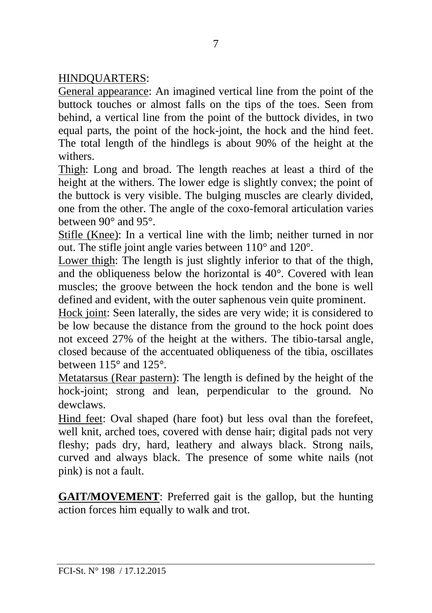## HINDQUARTERS:

General appearance: An imagined vertical line from the point of the buttock touches or almost falls on the tips of the toes. Seen from behind, a vertical line from the point of the buttock divides, in two equal parts, the point of the hock-joint, the hock and the hind feet. The total length of the hindlegs is about 90% of the height at the withers.

Thigh: Long and broad. The length reaches at least a third of the height at the withers. The lower edge is slightly convex; the point of the buttock is very visible. The bulging muscles are clearly divided, one from the other. The angle of the coxo-femoral articulation varies between 90° and 95°.

Stifle (Knee): In a vertical line with the limb; neither turned in nor out. The stifle joint angle varies between 110° and 120°.

Lower thigh: The length is just slightly inferior to that of the thigh, and the obliqueness below the horizontal is 40°. Covered with lean muscles; the groove between the hock tendon and the bone is well defined and evident, with the outer saphenous vein quite prominent.

Hock joint: Seen laterally, the sides are very wide; it is considered to be low because the distance from the ground to the hock point does not exceed 27% of the height at the withers. The tibio-tarsal angle, closed because of the accentuated obliqueness of the tibia, oscillates between 115° and 125°.

Metatarsus (Rear pastern): The length is defined by the height of the hock-joint; strong and lean, perpendicular to the ground. No dewclaws.

Hind feet: Oval shaped (hare foot) but less oval than the forefeet, well knit, arched toes, covered with dense hair; digital pads not very fleshy; pads dry, hard, leathery and always black. Strong nails, curved and always black. The presence of some white nails (not pink) is not a fault.

**GAIT/MOVEMENT**: Preferred gait is the gallop, but the hunting action forces him equally to walk and trot.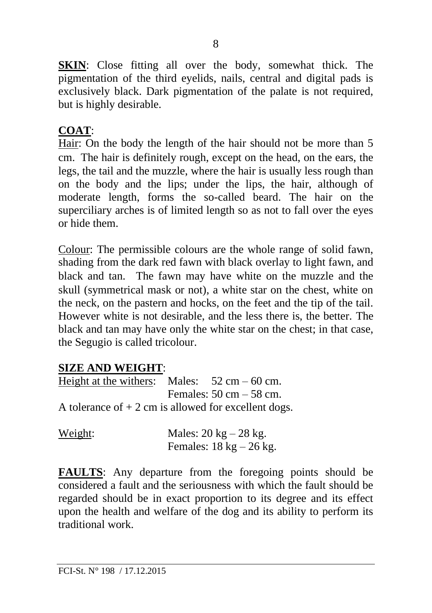**SKIN:** Close fitting all over the body, somewhat thick. The pigmentation of the third eyelids, nails, central and digital pads is exclusively black. Dark pigmentation of the palate is not required, but is highly desirable.

## **COAT**:

Hair: On the body the length of the hair should not be more than 5 cm. The hair is definitely rough, except on the head, on the ears, the legs, the tail and the muzzle, where the hair is usually less rough than on the body and the lips; under the lips, the hair, although of moderate length, forms the so-called beard. The hair on the superciliary arches is of limited length so as not to fall over the eyes or hide them.

Colour: The permissible colours are the whole range of solid fawn, shading from the dark red fawn with black overlay to light fawn, and black and tan. The fawn may have white on the muzzle and the skull (symmetrical mask or not), a white star on the chest, white on the neck, on the pastern and hocks, on the feet and the tip of the tail. However white is not desirable, and the less there is, the better. The black and tan may have only the white star on the chest; in that case, the Segugio is called tricolour.

#### **SIZE AND WEIGHT**:

Height at the withers: Males:  $52 \text{ cm} - 60 \text{ cm}$ . Females:  $50 \text{ cm} - 58 \text{ cm}$ . A tolerance of  $+2$  cm is allowed for excellent dogs.

| Weight: | Males: $20 \text{ kg} - 28 \text{ kg}$ .   |  |
|---------|--------------------------------------------|--|
|         | Females: $18 \text{ kg} - 26 \text{ kg}$ . |  |

**FAULTS:** Any departure from the foregoing points should be considered a fault and the seriousness with which the fault should be regarded should be in exact proportion to its degree and its effect upon the health and welfare of the dog and its ability to perform its traditional work.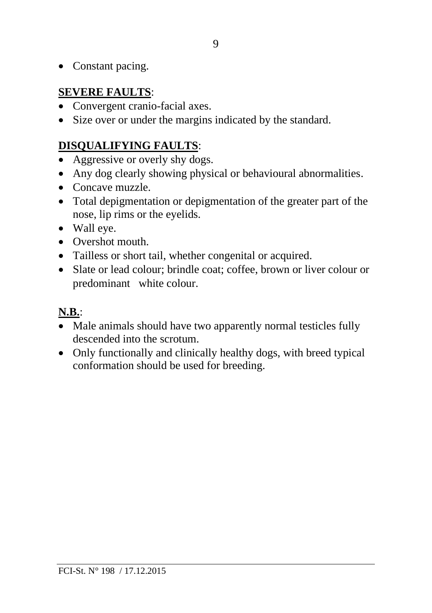• Constant pacing.

## **SEVERE FAULTS**:

- Convergent cranio-facial axes.
- Size over or under the margins indicated by the standard.

## **DISQUALIFYING FAULTS**:

- Aggressive or overly shy dogs.
- Any dog clearly showing physical or behavioural abnormalities.
- Concave muzzle.
- Total depigmentation or depigmentation of the greater part of the nose, lip rims or the eyelids.
- Wall eye.
- Overshot mouth.
- Tailless or short tail, whether congenital or acquired.
- Slate or lead colour; brindle coat; coffee, brown or liver colour or predominant white colour.

# **N.B.**:

- Male animals should have two apparently normal testicles fully descended into the scrotum.
- Only functionally and clinically healthy dogs, with breed typical conformation should be used for breeding.